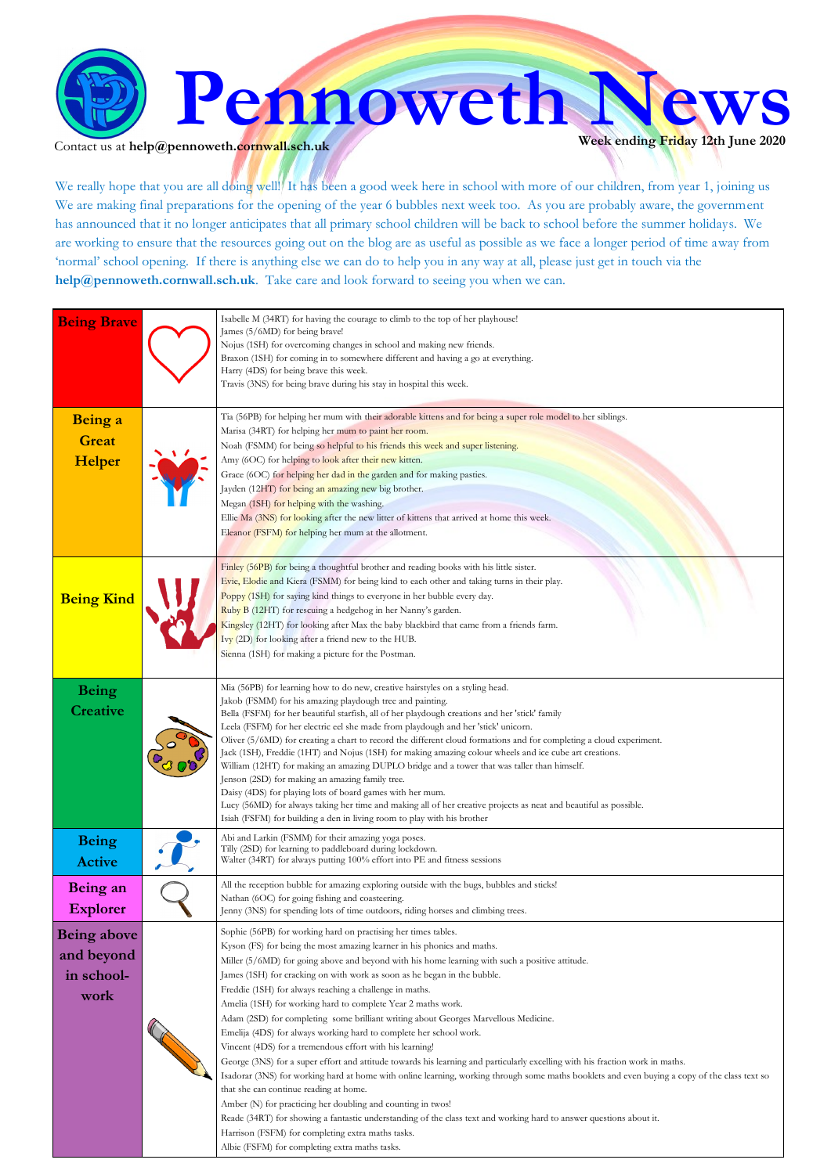

Contact us at **help@pennoweth.cornwall.sch.uk** 

We really hope that you are all doing well! It has been a good week here in school with more of our children, from year 1, joining us We are making final preparations for the opening of the year 6 bubbles next week too. As you are probably aware, the government has announced that it no longer anticipates that all primary school children will be back to school before the summer holidays. We are working to ensure that the resources going out on the blog are as useful as possible as we face a longer period of time away from 'normal' school opening. If there is anything else we can do to help you in any way at all, please just get in touch via the **help@pennoweth.cornwall.sch.uk**. Take care and look forward to seeing you when we can.

| <b>Being Brave</b>                                     | Isabelle M (34RT) for having the courage to climb to the top of her playhouse!<br>James (5/6MD) for being brave!<br>Nojus (1SH) for overcoming changes in school and making new friends.<br>Braxon (1SH) for coming in to somewhere different and having a go at everything.<br>Harry (4DS) for being brave this week.<br>Travis (3NS) for being brave during his stay in hospital this week.                                                                                                                                                                                                                                                                                                                                                                                                                                                                                                                                                                                                                                                                                                                                                                                                                                                                                                         |
|--------------------------------------------------------|-------------------------------------------------------------------------------------------------------------------------------------------------------------------------------------------------------------------------------------------------------------------------------------------------------------------------------------------------------------------------------------------------------------------------------------------------------------------------------------------------------------------------------------------------------------------------------------------------------------------------------------------------------------------------------------------------------------------------------------------------------------------------------------------------------------------------------------------------------------------------------------------------------------------------------------------------------------------------------------------------------------------------------------------------------------------------------------------------------------------------------------------------------------------------------------------------------------------------------------------------------------------------------------------------------|
| Being a<br><b>Great</b><br>Helper                      | Tia (56PB) for helping her mum with their adorable kittens and for being a super role model to her siblings.<br>Marisa (34RT) for helping her mum to paint her room.<br>Noah (FSMM) for being so helpful to his friends this week and super listening.<br>Amy (6OC) for helping to look after their new kitten.<br>Grace (6OC) for helping her dad in the garden and for making pasties.<br>Jayden (12HT) for being an amazing new big brother.<br>Megan (1SH) for helping with the washing.<br>Ellie Ma (3NS) for looking after the new litter of kittens that arrived at home this week.<br>Eleanor (FSFM) for helping her mum at the allotment.                                                                                                                                                                                                                                                                                                                                                                                                                                                                                                                                                                                                                                                    |
| <b>Being Kind</b>                                      | Finley (56PB) for being a thoughtful brother and reading books with his little sister.<br>Evie, Elodie and Kiera (FSMM) for being kind to each other and taking turns in their play.<br>Poppy (1SH) for saying kind things to everyone in her bubble every day.<br>Ruby B (12HT) for rescuing a hedgehog in her Nanny's garden.<br>Kingsley (12HT) for looking after Max the baby blackbird that came from a friends farm.<br>Ivy (2D) for looking after a friend new to the HUB.<br>Sienna (1SH) for making a picture for the Postman.                                                                                                                                                                                                                                                                                                                                                                                                                                                                                                                                                                                                                                                                                                                                                               |
| <b>Being</b><br>Creative                               | Mia (56PB) for learning how to do new, creative hairstyles on a styling head.<br>Jakob (FSMM) for his amazing playdough tree and painting.<br>Bella (FSFM) for her beautiful starfish, all of her playdough creations and her 'stick' family<br>Leela (FSFM) for her electric eel she made from playdough and her 'stick' unicorn.<br>Oliver (5/6MD) for creating a chart to record the different cloud formations and for completing a cloud experiment.<br>Jack (1SH), Freddie (1HT) and Nojus (1SH) for making amazing colour wheels and ice cube art creations.<br>William (12HT) for making an amazing DUPLO bridge and a tower that was taller than himself.<br>Jenson (2SD) for making an amazing family tree.<br>Daisy (4DS) for playing lots of board games with her mum.<br>Lucy (56MD) for always taking her time and making all of her creative projects as neat and beautiful as possible.<br>Isiah (FSFM) for building a den in living room to play with his brother                                                                                                                                                                                                                                                                                                                    |
| <b>Being</b><br><b>Active</b>                          | Abi and Larkin (FSMM) for their amazing yoga poses.<br>Tilly (2SD) for learning to paddleboard during lockdown.<br>Walter (34RT) for always putting 100% effort into PE and fitness sessions                                                                                                                                                                                                                                                                                                                                                                                                                                                                                                                                                                                                                                                                                                                                                                                                                                                                                                                                                                                                                                                                                                          |
| Being an<br><b>Explorer</b>                            | All the reception bubble for amazing exploring outside with the bugs, bubbles and sticks!<br>Nathan (6OC) for going fishing and coasteering.<br>Jenny (3NS) for spending lots of time outdoors, riding horses and climbing trees.                                                                                                                                                                                                                                                                                                                                                                                                                                                                                                                                                                                                                                                                                                                                                                                                                                                                                                                                                                                                                                                                     |
| <b>Being above</b><br>and beyond<br>in school-<br>work | Sophie (56PB) for working hard on practising her times tables.<br>Kyson (FS) for being the most amazing learner in his phonics and maths.<br>Miller (5/6MD) for going above and beyond with his home learning with such a positive attitude.<br>James (1SH) for cracking on with work as soon as he began in the bubble.<br>Freddie (1SH) for always reaching a challenge in maths.<br>Amelia (1SH) for working hard to complete Year 2 maths work.<br>Adam (2SD) for completing some brilliant writing about Georges Marvellous Medicine.<br>Emelija (4DS) for always working hard to complete her school work.<br>Vincent (4DS) for a tremendous effort with his learning!<br>George (3NS) for a super effort and attitude towards his learning and particularly excelling with his fraction work in maths.<br>Isadorar (3NS) for working hard at home with online learning, working through some maths booklets and even buying a copy of the class text so<br>that she can continue reading at home.<br>Amber (N) for practicing her doubling and counting in twos!<br>Reade (34RT) for showing a fantastic understanding of the class text and working hard to answer questions about it.<br>Harrison (FSFM) for completing extra maths tasks.<br>Albie (FSFM) for completing extra maths tasks. |